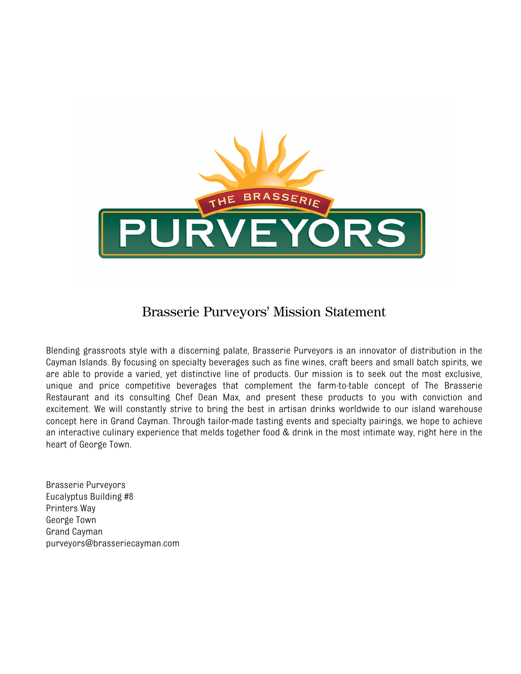

## Brasserie Purveyors' Mission Statement

Blending grassroots style with a discerning palate, Brasserie Purveyors is an innovator of distribution in the Cayman Islands. By focusing on specialty beverages such as fine wines, craft beers and small batch spirits, we are able to provide a varied, yet distinctive line of products. Our mission is to seek out the most exclusive, unique and price competitive beverages that complement the farm-to-table concept of The Brasserie Restaurant and its consulting Chef Dean Max, and present these products to you with conviction and excitement. We will constantly strive to bring the best in artisan drinks worldwide to our island warehouse concept here in Grand Cayman. Through tailor-made tasting events and specialty pairings, we hope to achieve an interactive culinary experience that melds together food & drink in the most intimate way, right here in the heart of George Town.

Brasserie Purveyors Eucalyptus Building #8 Printers Way George Town Grand Cayman purveyors@brasseriecayman.com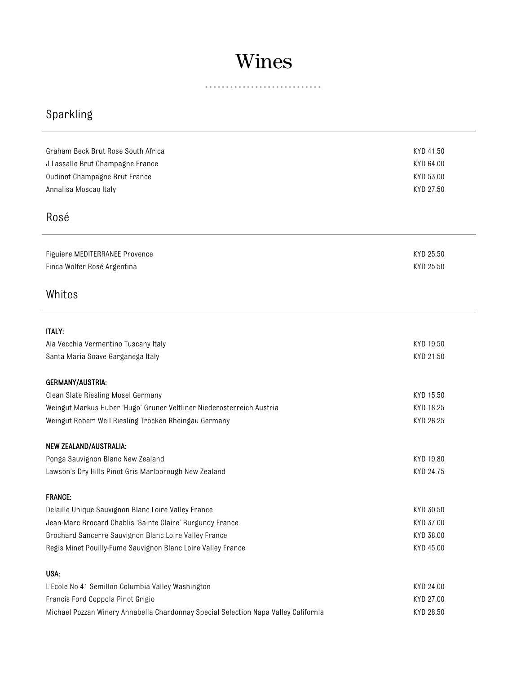# Wines

. . . . . . . . . . . . . . . . . . . . . . . . ä  $\alpha$ 

# Sparkling

| Graham Beck Brut Rose South Africa                                                  | KYD 41.50 |
|-------------------------------------------------------------------------------------|-----------|
| J Lassalle Brut Champagne France                                                    | KYD 64.00 |
| Oudinot Champagne Brut France                                                       | KYD 53.00 |
| Annalisa Moscao Italy                                                               | KYD 27.50 |
|                                                                                     |           |
| Rosé                                                                                |           |
|                                                                                     |           |
| Figuiere MEDITERRANEE Provence                                                      | KYD 25.50 |
| Finca Wolfer Rosé Argentina                                                         | KYD 25.50 |
|                                                                                     |           |
| Whites                                                                              |           |
|                                                                                     |           |
|                                                                                     |           |
| <b>ITALY:</b>                                                                       |           |
| Aia Vecchia Vermentino Tuscany Italy                                                | KYD 19.50 |
| Santa Maria Soave Garganega Italy                                                   | KYD 21.50 |
| <b>GERMANY/AUSTRIA:</b>                                                             |           |
| Clean Slate Riesling Mosel Germany                                                  | KYD 15.50 |
| Weingut Markus Huber 'Hugo' Gruner Veltliner Niederosterreich Austria               | KYD 18.25 |
| Weingut Robert Weil Riesling Trocken Rheingau Germany                               | KYD 26.25 |
|                                                                                     |           |
| NEW ZEALAND/AUSTRALIA:                                                              |           |
| Ponga Sauvignon Blanc New Zealand                                                   | KYD 19.80 |
| Lawson's Dry Hills Pinot Gris Marlborough New Zealand                               | KYD 24.75 |
| <b>FRANCE:</b>                                                                      |           |
| Delaille Unique Sauvignon Blanc Loire Valley France                                 | KYD 30.50 |
| Jean-Marc Brocard Chablis 'Sainte Claire' Burgundy France                           | KYD 37.00 |
| Brochard Sancerre Sauvignon Blanc Loire Valley France                               | KYD 38.00 |
| Regis Minet Pouilly-Fume Sauvignon Blanc Loire Valley France                        | KYD 45.00 |
|                                                                                     |           |
| USA:                                                                                |           |
| L'Ecole No 41 Semillon Columbia Valley Washington                                   | KYD 24.00 |
| Francis Ford Coppola Pinot Grigio                                                   | KYD 27.00 |
| Michael Pozzan Winery Annabella Chardonnay Special Selection Napa Valley California | KYD 28.50 |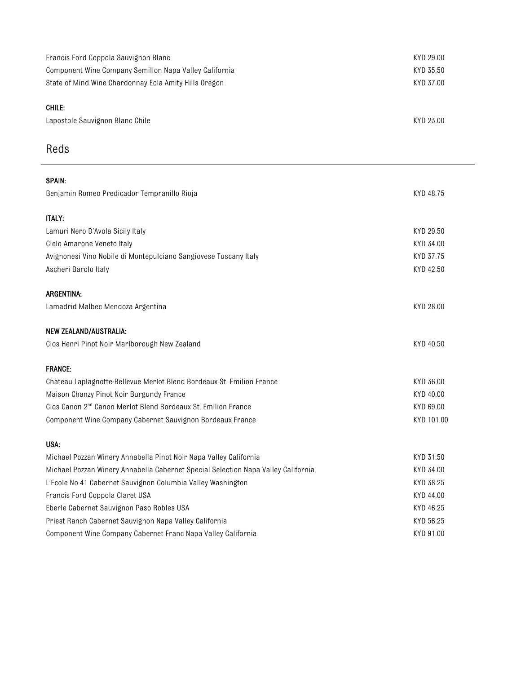| Francis Ford Coppola Sauvignon Blanc<br>Component Wine Company Semillon Napa Valley California<br>State of Mind Wine Chardonnay Eola Amity Hills Oregon | KYD 29.00<br>KYD 35.50<br>KYD 37.00 |
|---------------------------------------------------------------------------------------------------------------------------------------------------------|-------------------------------------|
| CHILE:<br>Lapostole Sauvignon Blanc Chile                                                                                                               | KYD 23.00                           |
| Reds                                                                                                                                                    |                                     |
| <b>SPAIN:</b>                                                                                                                                           |                                     |
| Benjamin Romeo Predicador Tempranillo Rioja                                                                                                             | KYD 48.75                           |
| <b>ITALY:</b>                                                                                                                                           |                                     |
| Lamuri Nero D'Avola Sicily Italy                                                                                                                        | KYD 29.50                           |
| Cielo Amarone Veneto Italy                                                                                                                              | KYD 34.00                           |
| Avignonesi Vino Nobile di Montepulciano Sangiovese Tuscany Italy                                                                                        | KYD 37.75                           |
| Ascheri Barolo Italy                                                                                                                                    | KYD 42.50                           |
| <b>ARGENTINA:</b>                                                                                                                                       |                                     |
| Lamadrid Malbec Mendoza Argentina                                                                                                                       | KYD 28.00                           |
| NEW ZEALAND/AUSTRALIA:                                                                                                                                  |                                     |
| Clos Henri Pinot Noir Marlborough New Zealand                                                                                                           | KYD 40.50                           |
|                                                                                                                                                         |                                     |
| <b>FRANCE:</b>                                                                                                                                          |                                     |
| Chateau Laplagnotte-Bellevue Merlot Blend Bordeaux St. Emilion France                                                                                   | KYD 36.00                           |
| Maison Chanzy Pinot Noir Burgundy France                                                                                                                | KYD 40.00                           |
| Clos Canon 2 <sup>nd</sup> Canon Merlot Blend Bordeaux St. Emilion France                                                                               | KYD 69.00                           |
| Component Wine Company Cabernet Sauvignon Bordeaux France                                                                                               | KYD 101.00                          |
| USA:                                                                                                                                                    |                                     |
| Michael Pozzan Winery Annabella Pinot Noir Napa Valley California                                                                                       | KYD 31.50                           |
| Michael Pozzan Winery Annabella Cabernet Special Selection Napa Valley California                                                                       | KYD 34.00                           |
| L'Ecole No 41 Cabernet Sauvignon Columbia Valley Washington                                                                                             | KYD 38.25                           |
| Francis Ford Coppola Claret USA                                                                                                                         | KYD 44.00                           |
| Eberle Cabernet Sauvignon Paso Robles USA                                                                                                               | KYD 46.25                           |
| Priest Ranch Cabernet Sauvignon Napa Valley California                                                                                                  | KYD 56.25                           |
| Component Wine Company Cabernet Franc Napa Valley California                                                                                            | KYD 91.00                           |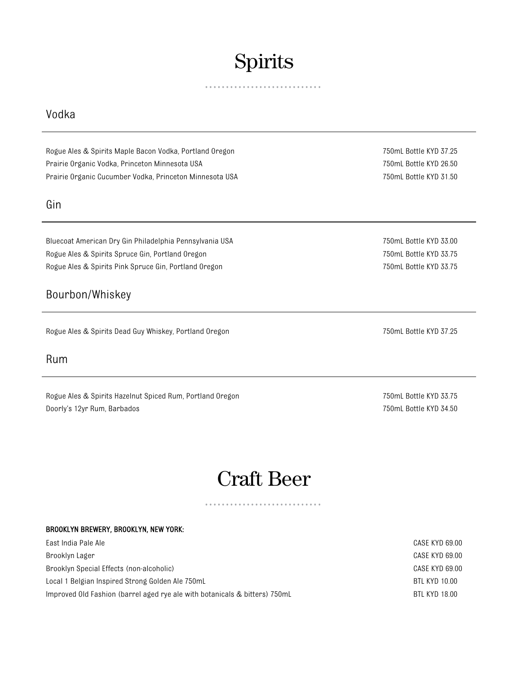# Spirits

 $\begin{array}{cccccccccc} 0 & 0 & 0 & 0 & 0 \end{array}$ 

## Vodka

Rogue Ales & Spirits Maple Bacon Vodka, Portland Oregon 750mL Bottle KYD 37.25 Prairie Organic Vodka, Princeton Minnesota USA 750mL Bottle KYD 26.50 Prairie Organic Cucumber Vodka, Princeton Minnesota USA 750mL Bottle KYD 31.50

### Gin

Bluecoat American Dry Gin Philadelphia Pennsylvania USA 750mL 80the 750mL Bottle KYD 33.00 Rogue Ales & Spirits Spruce Gin, Portland Oregon 750mL Bottle KYD 33.75 Rogue Ales & Spirits Pink Spruce Gin, Portland Oregon 750mL Bottle KYD 33.75

## Bourbon/Whiskey

Rogue Ales & Spirits Dead Guy Whiskey, Portland Oregon 750mL Bottle KYD 37.25

### Rum

Rogue Ales & Spirits Hazelnut Spiced Rum, Portland Oregon 750mL Bottle KYD 33.75 Doorly's 12yr Rum, Barbados 750mL Bottle KYD 34.50

# Craft Beer

#### BROOKLYN BREWERY, BROOKLYN, NEW YORK:

| East India Pale Ale                                                        | CASE KYD 69.00 |
|----------------------------------------------------------------------------|----------------|
| Brooklyn Lager                                                             | CASE KYD 69.00 |
| Brooklyn Special Effects (non-alcoholic)                                   | CASE KYD 69.00 |
| Local 1 Belgian Inspired Strong Golden Ale 750mL                           | BTL KYD 10.00  |
| Improved Old Fashion (barrel aged rye ale with botanicals & bitters) 750mL | BTL KYD 18.00  |